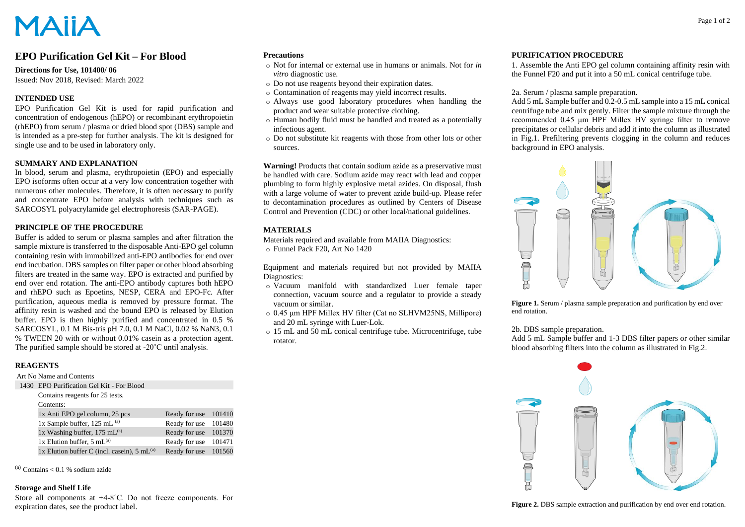# **MAIIA**

## **EPO Purification Gel Kit – For Blood**

#### **Directions for Use, 101400/ 06**

Issued: Nov 2018, Revised: March 2022

### **INTENDED USE**

EPO Purification Gel Kit is used for rapid purification and concentration of endogenous (hEPO) or recombinant erythropoietin (rhEPO) from serum / plasma or dried blood spot (DBS) sample and is intended as a pre-step for further analysis. The kit is designed for single use and to be used in laboratory only.

#### **SUMMARY AND EXPLANATION**

In blood, serum and plasma, erythropoietin (EPO) and especially EPO isoforms often occur at a very low concentration together with numerous other molecules. Therefore, it is often necessary to purify and concentrate EPO before analysis with techniques such as SARCOSYL polyacrylamide gel electrophoresis (SAR-PAGE).

#### **PRINCIPLE OF THE PROCEDURE**

Buffer is added to serum or plasma samples and after filtration the sample mixture is transferred to the disposable Anti-EPO gel column containing resin with immobilized anti-EPO antibodies for end over end incubation. DBS samples on filter paper or other blood absorbing filters are treated in the same way. EPO is extracted and purified by end over end rotation. The anti-EPO antibody captures both hEPO and rhEPO such as Epoetins, NESP, CERA and EPO-Fc. After purification, aqueous media is removed by pressure format. The affinity resin is washed and the bound EPO is released by Elution buffer. EPO is then highly purified and concentrated in 0.5 % SARCOSYL, 0.1 M Bis-tris pH 7.0, 0.1 M NaCl, 0.02 % NaN3, 0.1 % TWEEN 20 with or without 0.01% casein as a protection agent. The purified sample should be stored at -20˚C until analysis.

### **REAGENTS**

#### Art No Name and Contents

1430 EPO Purification Gel Kit - For Blood

| Contains reagents for 25 tests.                          |                      |  |
|----------------------------------------------------------|----------------------|--|
| Contents:                                                |                      |  |
| 1x Anti EPO gel column, 25 pcs                           | Ready for use 101410 |  |
| 1x Sample buffer, $125$ mL $^{(a)}$                      | Ready for use 101480 |  |
| 1x Washing buffer, $175$ mL <sup>(a)</sup>               | Ready for use 101370 |  |
| 1x Elution buffer, $5 \text{ mL}^{(a)}$                  | Ready for use 101471 |  |
| 1x Elution buffer C (incl. casein), $5 \text{ mL}^{(a)}$ | Ready for use 101560 |  |

 $^{(a)}$  Contains < 0.1 % sodium azide

### **Storage and Shelf Life**

Store all components at +4-8˚C. Do not freeze components. For expiration dates, see the product label.

#### **Precautions**

- o Not for internal or external use in humans or animals. Not for *in vitro* diagnostic use.
- o Do not use reagents beyond their expiration dates.
- o Contamination of reagents may yield incorrect results.
- o Always use good laboratory procedures when handling the product and wear suitable protective clothing.
- o Human bodily fluid must be handled and treated as a potentially infectious agent.
- o Do not substitute kit reagents with those from other lots or other sources.

**Warning!** Products that contain sodium azide as a preservative must be handled with care. Sodium azide may react with lead and copper plumbing to form highly explosive metal azides. On disposal, flush with a large volume of water to prevent azide build-up. Please refer to decontamination procedures as outlined by Centers of Disease Control and Prevention (CDC) or other local/national guidelines.

#### **MATERIALS**

Materials required and available from MAIIA Diagnostics: o Funnel Pack F20, Art No 1420

Equipment and materials required but not provided by MAIIA Diagnostics:

- o Vacuum manifold with standardized Luer female taper connection, vacuum source and a regulator to provide a steady vacuum or similar.
- o 0.45 μm HPF Millex HV filter (Cat no SLHVM25NS, Millipore) and 20 mL syringe with Luer-Lok.
- o 15 mL and 50 mL conical centrifuge tube. Microcentrifuge, tube rotator.

#### **PURIFICATION PROCEDURE**

1. Assemble the Anti EPO gel column containing affinity resin with the Funnel F20 and put it into a 50 mL conical centrifuge tube.

#### 2a. Serum / plasma sample preparation.

Add 5 mL Sample buffer and 0.2-0.5 mL sample into a 15 mL conical centrifuge tube and mix gently. Filter the sample mixture through the recommended 0.45 μm HPF Millex HV syringe filter to remove precipitates or cellular debris and add it into the column as illustrated in Fig.1. Prefiltering prevents clogging in the column and reduces background in EPO analysis.



Figure 1. Serum / plasma sample preparation and purification by end over end rotation.

#### 2b. DBS sample preparation.

Add 5 mL Sample buffer and 1-3 DBS filter papers or other similar blood absorbing filters into the column as illustrated in Fig.2.